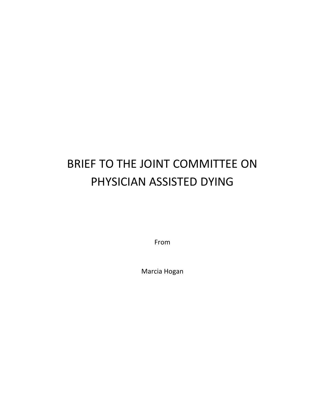## BRIEF TO THE JOINT COMMITTEE ON PHYSICIAN ASSISTED DYING

From

Marcia Hogan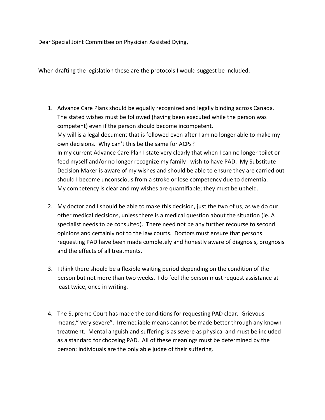Dear Special Joint Committee on Physician Assisted Dying,

When drafting the legislation these are the protocols I would suggest be included:

- 1. Advance Care Plans should be equally recognized and legally binding across Canada. The stated wishes must be followed (having been executed while the person was competent) even if the person should become incompetent. My will is a legal document that is followed even after I am no longer able to make my own decisions. Why can't this be the same for ACPs? In my current Advance Care Plan I state very clearly that when I can no longer toilet or feed myself and/or no longer recognize my family I wish to have PAD. My Substitute Decision Maker is aware of my wishes and should be able to ensure they are carried out should I become unconscious from a stroke or lose competency due to dementia. My competency is clear and my wishes are quantifiable; they must be upheld.
- 2. My doctor and I should be able to make this decision, just the two of us, as we do our other medical decisions, unless there is a medical question about the situation (ie. A specialist needs to be consulted). There need not be any further recourse to second opinions and certainly not to the law courts. Doctors must ensure that persons requesting PAD have been made completely and honestly aware of diagnosis, prognosis and the effects of all treatments.
- 3. I think there should be a flexible waiting period depending on the condition of the person but not more than two weeks. I do feel the person must request assistance at least twice, once in writing.
- 4. The Supreme Court has made the conditions for requesting PAD clear. Grievous means," very severe". Irremediable means cannot be made better through any known treatment. Mental anguish and suffering is as severe as physical and must be included as a standard for choosing PAD. All of these meanings must be determined by the person; individuals are the only able judge of their suffering.